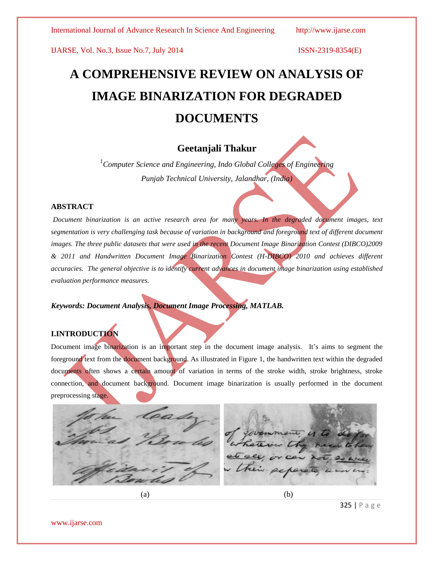IJARSE, Vol. No.3, Issue No.7, July 2014 ISSN-2319-8354(E)

# **A COMPREHENSIVE REVIEW ON ANALYSIS OF IMAGE BINARIZATION FOR DEGRADED DOCUMENTS**

# **Geetanjali Thakur**

*<sup>1</sup>Computer Science and Engineering, Indo Global Colleges of Engineering Punjab Technical University, Jalandhar, (India)*

### **ABSTRACT**

*Document binarization is an active research area for many years. In the degraded document images, text segmentation is very challenging task because of variation in background and foreground text of different document images. The three public datasets that were used in the recent Document Image Binarization Contest (DIBCO)2009 & 2011 and Handwritten Document Image Binarization Contest (H-DIBCO) 2010 and achieves different accuracies. The general objective is to identify current advances in document image binarization using established evaluation performance measures.*

*Keywords: Document Analysis, Document Image Processing, MATLAB.*

# **I.INTRODUCTION**

Document image binarization is an important step in the document image analysis. It's aims to segment the foreground text from the document background. As illustrated in Figure 1, the handwritten text within the degraded documents often shows a certain amount of variation in terms of the stroke width, stroke brightness, stroke connection, and document background. Document image binarization is usually performed in the document preprocessing stage.



325 | P a g e

www.ijarse.com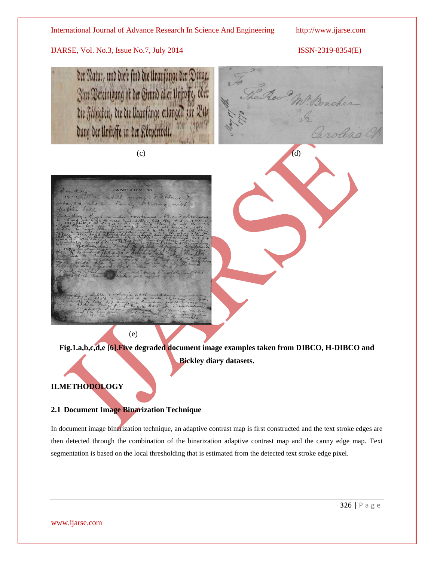#### International Journal of Advance Research In Science And Engineering http://www.ijarse.com

### IJARSE, Vol. No.3, Issue No.7, July 2014 ISSN-2319-8354(E)







**Fig.1.a,b,c,d,e [6].Five degraded document image examples taken from DIBCO, H-DIBCO and Bickley diary datasets.**

# **II.METHODOLOGY**

#### **2.1 Document Image Binarization Technique**

In document image binarization technique, an adaptive contrast map is first constructed and the text stroke edges are then detected through the combination of the binarization adaptive contrast map and the canny edge map. Text segmentation is based on the local thresholding that is estimated from the detected text stroke edge pixel.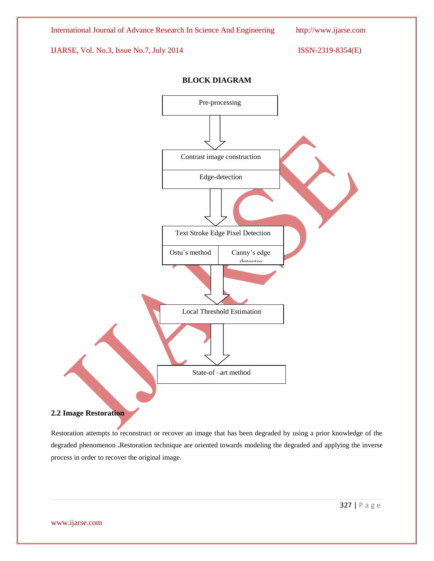

#### **2.2 Image Restoration**

Restoration attempts to reconstruct or recover an image that has been degraded by using a prior knowledge of the degraded phenomenon **.**Restoration technique are oriented towards modeling the degraded and applying the inverse process in order to recover the original image.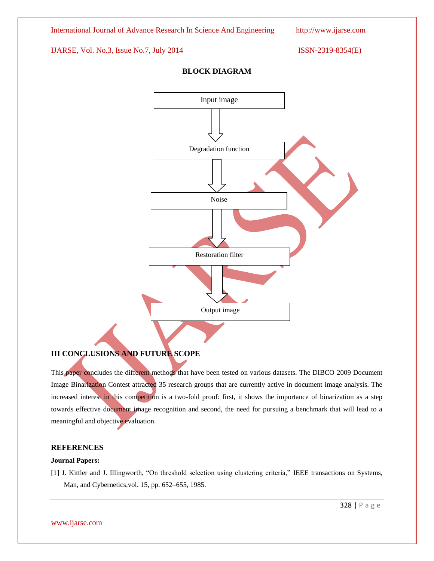International Journal of Advance Research In Science And Engineering http://www.ijarse.com

#### IJARSE, Vol. No.3, Issue No.7, July 2014 ISSN-2319-8354(E)



### **BLOCK DIAGRAM**

## **III CONCLUSIONS AND FUTURE SCOPE**

This paper concludes the different methods that have been tested on various datasets. The DIBCO 2009 Document Image Binarization Contest attracted 35 research groups that are currently active in document image analysis. The increased interest in this competition is a two-fold proof: first, it shows the importance of binarization as a step towards effective document image recognition and second, the need for pursuing a benchmark that will lead to a meaningful and objective evaluation.

#### **REFERENCES**

#### **Journal Papers:**

[1] J. Kittler and J. Illingworth, "On threshold selection using clustering criteria," IEEE transactions on Systems, Man, and Cybernetics,vol. 15, pp. 652–655, 1985.